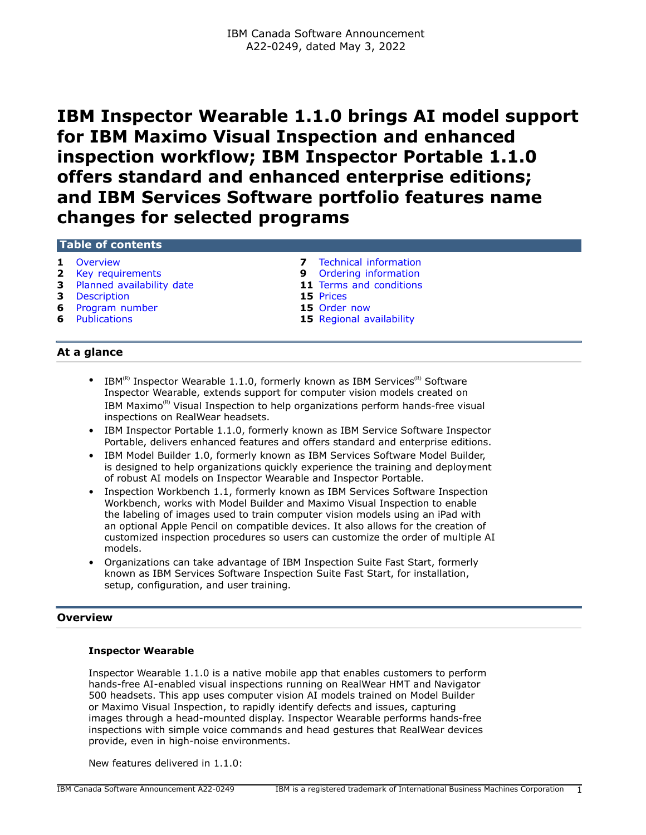# **IBM Inspector Wearable 1.1.0 brings AI model support for IBM Maximo Visual Inspection and enhanced inspection workflow; IBM Inspector Portable 1.1.0 offers standard and enhanced enterprise editions; and IBM Services Software portfolio features name changes for selected programs**

# **Table of contents**

- 
- 
- **3** [Planned availability date](#page-2-0) **11** [Terms and conditions](#page-10-0)<br> **15** Prices
- **3** [Description](#page-2-1)
- **6** [Program number](#page-5-0) **15** [Order now](#page-14-1)
- 
- **1** [Overview](#page-0-0) **7** [Technical information](#page-6-0)
- **2** [Key requirements](#page-1-0) **9** [Ordering information](#page-8-0)
	-
	-
	-
- **6** [Publications](#page-5-1) **15** [Regional availability](#page-14-2)

# **At a glance**

- IBM $^{(R)}$  Inspector Wearable 1.1.0, formerly known as IBM Services<sup>(R)</sup> Software Inspector Wearable, extends support for computer vision models created on IBM Maximo $<sup>(R)</sup>$  Visual Inspection to help organizations perform hands-free visual</sup> inspections on RealWear headsets.
- IBM Inspector Portable 1.1.0, formerly known as IBM Service Software Inspector Portable, delivers enhanced features and offers standard and enterprise editions.
- IBM Model Builder 1.0, formerly known as IBM Services Software Model Builder, is designed to help organizations quickly experience the training and deployment of robust AI models on Inspector Wearable and Inspector Portable.
- Inspection Workbench 1.1, formerly known as IBM Services Software Inspection Workbench, works with Model Builder and Maximo Visual Inspection to enable the labeling of images used to train computer vision models using an iPad with an optional Apple Pencil on compatible devices. It also allows for the creation of customized inspection procedures so users can customize the order of multiple AI models.
- Organizations can take advantage of IBM Inspection Suite Fast Start, formerly known as IBM Services Software Inspection Suite Fast Start, for installation, setup, configuration, and user training.

# <span id="page-0-0"></span>**Overview**

#### **Inspector Wearable**

Inspector Wearable 1.1.0 is a native mobile app that enables customers to perform hands-free AI-enabled visual inspections running on RealWear HMT and Navigator 500 headsets. This app uses computer vision AI models trained on Model Builder or Maximo Visual Inspection, to rapidly identify defects and issues, capturing images through a head-mounted display. Inspector Wearable performs hands-free inspections with simple voice commands and head gestures that RealWear devices provide, even in high-noise environments.

New features delivered in 1.1.0: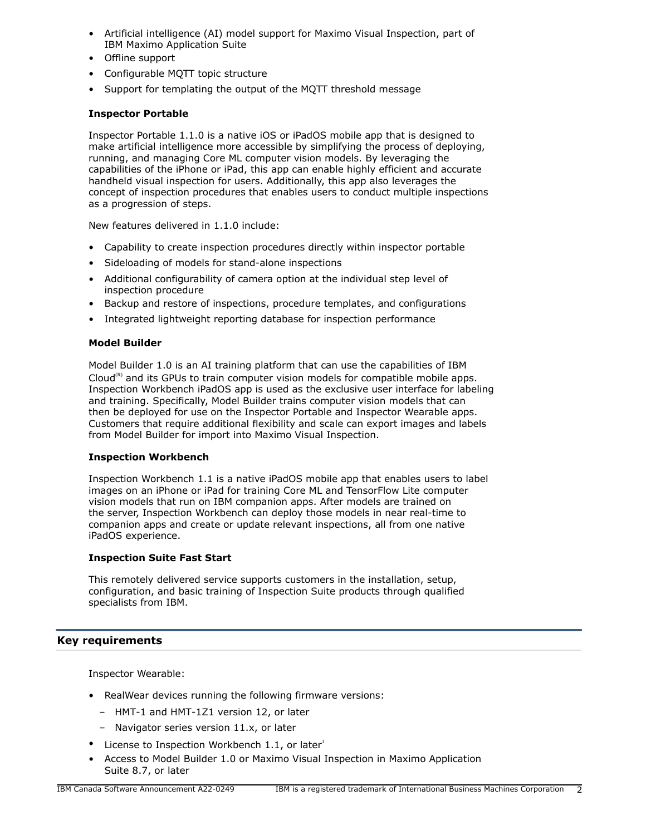- Artificial intelligence (AI) model support for Maximo Visual Inspection, part of IBM Maximo Application Suite
- Offline support
- Configurable MQTT topic structure
- Support for templating the output of the MQTT threshold message

# **Inspector Portable**

Inspector Portable 1.1.0 is a native iOS or iPadOS mobile app that is designed to make artificial intelligence more accessible by simplifying the process of deploying, running, and managing Core ML computer vision models. By leveraging the capabilities of the iPhone or iPad, this app can enable highly efficient and accurate handheld visual inspection for users. Additionally, this app also leverages the concept of inspection procedures that enables users to conduct multiple inspections as a progression of steps.

New features delivered in 1.1.0 include:

- Capability to create inspection procedures directly within inspector portable
- Sideloading of models for stand-alone inspections
- Additional configurability of camera option at the individual step level of inspection procedure
- Backup and restore of inspections, procedure templates, and configurations
- Integrated lightweight reporting database for inspection performance

#### **Model Builder**

Model Builder 1.0 is an AI training platform that can use the capabilities of IBM Cloud $(R)$  and its GPUs to train computer vision models for compatible mobile apps. Inspection Workbench iPadOS app is used as the exclusive user interface for labeling and training. Specifically, Model Builder trains computer vision models that can then be deployed for use on the Inspector Portable and Inspector Wearable apps. Customers that require additional flexibility and scale can export images and labels from Model Builder for import into Maximo Visual Inspection.

#### **Inspection Workbench**

Inspection Workbench 1.1 is a native iPadOS mobile app that enables users to label images on an iPhone or iPad for training Core ML and TensorFlow Lite computer vision models that run on IBM companion apps. After models are trained on the server, Inspection Workbench can deploy those models in near real-time to companion apps and create or update relevant inspections, all from one native iPadOS experience.

#### **Inspection Suite Fast Start**

This remotely delivered service supports customers in the installation, setup, configuration, and basic training of Inspection Suite products through qualified specialists from IBM.

# <span id="page-1-0"></span>**Key requirements**

Inspector Wearable:

- RealWear devices running the following firmware versions:
	- HMT-1 and HMT-1Z1 version 12, or later
- Navigator series version 11.x, or later
- License to Inspection Workbench 1.1, or later $^1$
- Access to Model Builder 1.0 or Maximo Visual Inspection in Maximo Application Suite 8.7, or later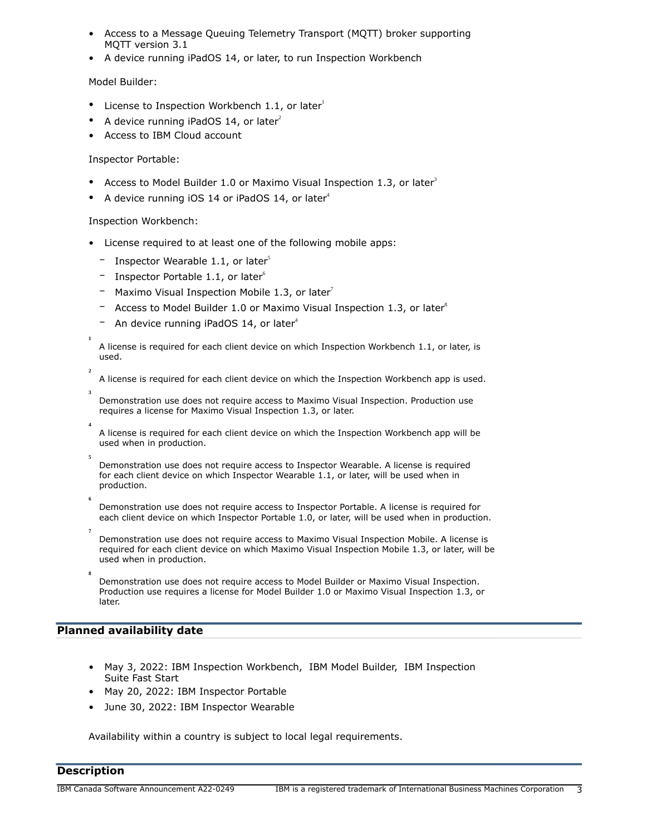- Access to a Message Queuing Telemetry Transport (MQTT) broker supporting MQTT version 3.1
- A device running iPadOS 14, or later, to run Inspection Workbench

# Model Builder:

- License to Inspection Workbench 1.1, or later $1$
- A device running iPadOS 14, or later<sup>2</sup>
- Access to IBM Cloud account

# Inspector Portable:

- Access to Model Builder 1.0 or Maximo Visual Inspection 1.3, or later<sup>3</sup>
- A device running iOS 14 or iPadOS 14, or later<sup>4</sup>

# Inspection Workbench:

- License required to at least one of the following mobile apps:
	- Inspector Wearable 1.1, or later<sup>5</sup>
	- Inspector Portable 1.1, or later $^6$
	- Maximo Visual Inspection Mobile 1.3, or later<sup>7</sup>
	- $-$  Access to Model Builder 1.0 or Maximo Visual Inspection 1.3, or later<sup>8</sup>
	- $-$  An device running iPadOS 14, or later<sup>4</sup>

A license is required for each client device on which Inspection Workbench 1.1, or later, is used.

A license is required for each client device on which the Inspection Workbench app is used.

Demonstration use does not require access to Maximo Visual Inspection. Production use requires a license for Maximo Visual Inspection 1.3, or later.

A license is required for each client device on which the Inspection Workbench app will be used when in production.

Demonstration use does not require access to Inspector Wearable. A license is required for each client device on which Inspector Wearable 1.1, or later, will be used when in production.

Demonstration use does not require access to Inspector Portable. A license is required for each client device on which Inspector Portable 1.0, or later, will be used when in production.

**7** Demonstration use does not require access to Maximo Visual Inspection Mobile. A license is required for each client device on which Maximo Visual Inspection Mobile 1.3, or later, will be used when in production.

**8**

**1**

**2**

**3**

**4**

**5**

**6**

Demonstration use does not require access to Model Builder or Maximo Visual Inspection. Production use requires a license for Model Builder 1.0 or Maximo Visual Inspection 1.3, or later.

# <span id="page-2-0"></span>**Planned availability date**

- May 3, 2022: IBM Inspection Workbench, IBM Model Builder, IBM Inspection Suite Fast Start
- May 20, 2022: IBM Inspector Portable
- June 30, 2022: IBM Inspector Wearable

Availability within a country is subject to local legal requirements.

# <span id="page-2-1"></span>**Description**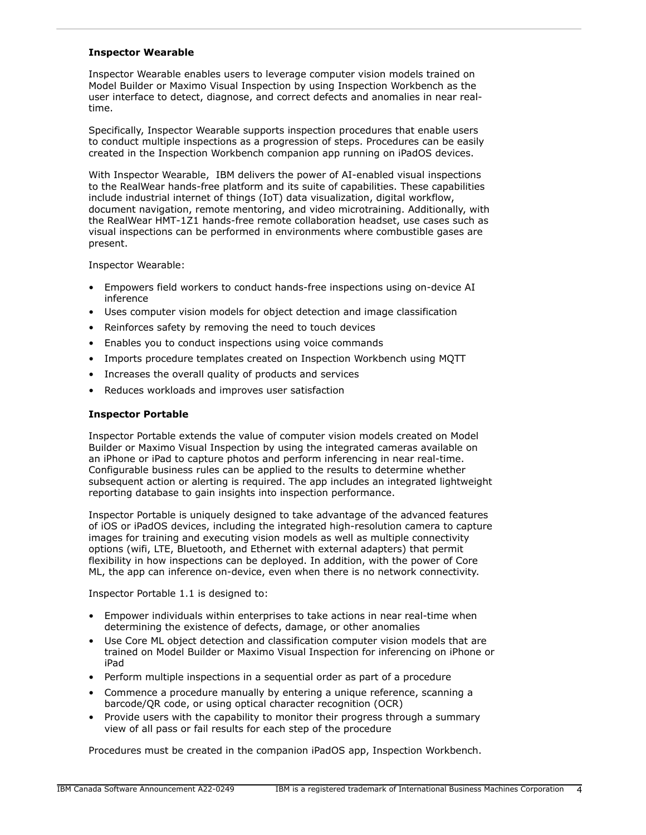#### **Inspector Wearable**

Inspector Wearable enables users to leverage computer vision models trained on Model Builder or Maximo Visual Inspection by using Inspection Workbench as the user interface to detect, diagnose, and correct defects and anomalies in near realtime.

Specifically, Inspector Wearable supports inspection procedures that enable users to conduct multiple inspections as a progression of steps. Procedures can be easily created in the Inspection Workbench companion app running on iPadOS devices.

With Inspector Wearable, IBM delivers the power of AI-enabled visual inspections to the RealWear hands-free platform and its suite of capabilities. These capabilities include industrial internet of things (IoT) data visualization, digital workflow, document navigation, remote mentoring, and video microtraining. Additionally, with the RealWear HMT-1Z1 hands-free remote collaboration headset, use cases such as visual inspections can be performed in environments where combustible gases are present.

Inspector Wearable:

- Empowers field workers to conduct hands-free inspections using on-device AI inference
- Uses computer vision models for object detection and image classification
- Reinforces safety by removing the need to touch devices
- Enables you to conduct inspections using voice commands
- Imports procedure templates created on Inspection Workbench using MQTT
- Increases the overall quality of products and services
- Reduces workloads and improves user satisfaction

# **Inspector Portable**

Inspector Portable extends the value of computer vision models created on Model Builder or Maximo Visual Inspection by using the integrated cameras available on an iPhone or iPad to capture photos and perform inferencing in near real-time. Configurable business rules can be applied to the results to determine whether subsequent action or alerting is required. The app includes an integrated lightweight reporting database to gain insights into inspection performance.

Inspector Portable is uniquely designed to take advantage of the advanced features of iOS or iPadOS devices, including the integrated high-resolution camera to capture images for training and executing vision models as well as multiple connectivity options (wifi, LTE, Bluetooth, and Ethernet with external adapters) that permit flexibility in how inspections can be deployed. In addition, with the power of Core ML, the app can inference on-device, even when there is no network connectivity.

Inspector Portable 1.1 is designed to:

- Empower individuals within enterprises to take actions in near real-time when determining the existence of defects, damage, or other anomalies
- Use Core ML object detection and classification computer vision models that are trained on Model Builder or Maximo Visual Inspection for inferencing on iPhone or iPad
- Perform multiple inspections in a sequential order as part of a procedure
- Commence a procedure manually by entering a unique reference, scanning a barcode/QR code, or using optical character recognition (OCR)
- Provide users with the capability to monitor their progress through a summary view of all pass or fail results for each step of the procedure

Procedures must be created in the companion iPadOS app, Inspection Workbench.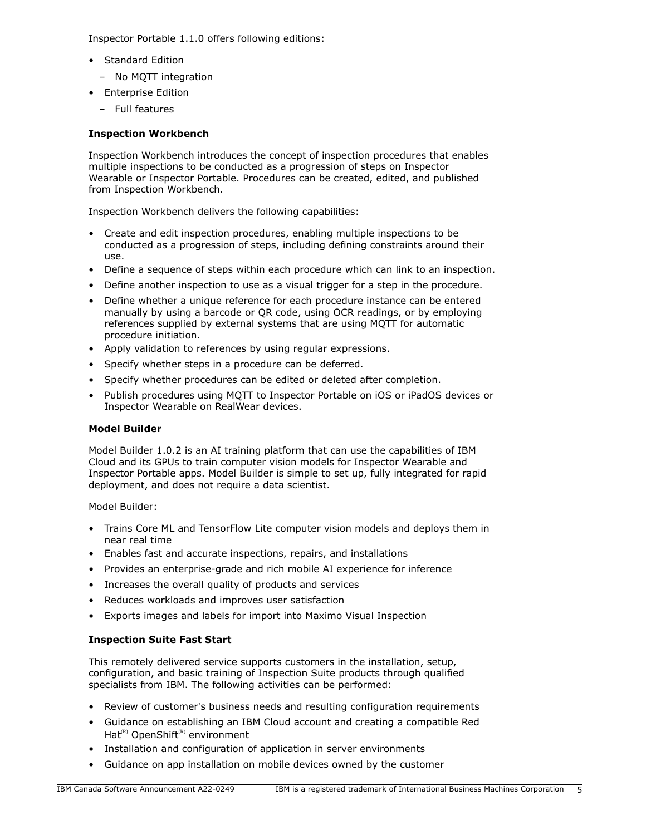Inspector Portable 1.1.0 offers following editions:

- Standard Edition
	- No MQTT integration
- Enterprise Edition
	- Full features

# **Inspection Workbench**

Inspection Workbench introduces the concept of inspection procedures that enables multiple inspections to be conducted as a progression of steps on Inspector Wearable or Inspector Portable. Procedures can be created, edited, and published from Inspection Workbench.

Inspection Workbench delivers the following capabilities:

- Create and edit inspection procedures, enabling multiple inspections to be conducted as a progression of steps, including defining constraints around their use.
- Define a sequence of steps within each procedure which can link to an inspection.
- Define another inspection to use as a visual trigger for a step in the procedure.
- Define whether a unique reference for each procedure instance can be entered manually by using a barcode or QR code, using OCR readings, or by employing references supplied by external systems that are using MQTT for automatic procedure initiation.
- Apply validation to references by using regular expressions.
- Specify whether steps in a procedure can be deferred.
- Specify whether procedures can be edited or deleted after completion.
- Publish procedures using MQTT to Inspector Portable on iOS or iPadOS devices or Inspector Wearable on RealWear devices.

# **Model Builder**

Model Builder 1.0.2 is an AI training platform that can use the capabilities of IBM Cloud and its GPUs to train computer vision models for Inspector Wearable and Inspector Portable apps. Model Builder is simple to set up, fully integrated for rapid deployment, and does not require a data scientist.

Model Builder:

- Trains Core ML and TensorFlow Lite computer vision models and deploys them in near real time
- Enables fast and accurate inspections, repairs, and installations
- Provides an enterprise-grade and rich mobile AI experience for inference
- Increases the overall quality of products and services
- Reduces workloads and improves user satisfaction
- Exports images and labels for import into Maximo Visual Inspection

# **Inspection Suite Fast Start**

This remotely delivered service supports customers in the installation, setup, configuration, and basic training of Inspection Suite products through qualified specialists from IBM. The following activities can be performed:

- Review of customer's business needs and resulting configuration requirements
- Guidance on establishing an IBM Cloud account and creating a compatible Red Hat<sup>(R)</sup> OpenShift<sup>(R)</sup> environment
- Installation and configuration of application in server environments
- Guidance on app installation on mobile devices owned by the customer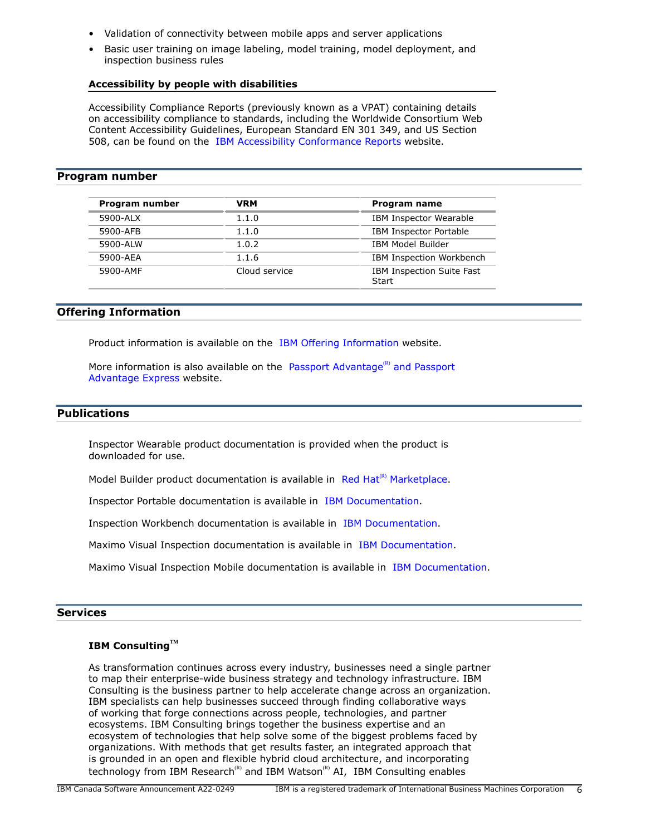- Validation of connectivity between mobile apps and server applications
- Basic user training on image labeling, model training, model deployment, and inspection business rules

#### **Accessibility by people with disabilities**

Accessibility Compliance Reports (previously known as a VPAT) containing details on accessibility compliance to standards, including the Worldwide Consortium Web Content Accessibility Guidelines, European Standard EN 301 349, and US Section 508, can be found on the [IBM Accessibility Conformance Reports](https://www.ibm.com/able/product_accessibility/) website.

#### <span id="page-5-0"></span>**Program number**

| Program number | <b>VRM</b>    | Program name                              |
|----------------|---------------|-------------------------------------------|
| 5900-ALX       | 1.1.0         | IBM Inspector Wearable                    |
| 5900-AFB       | 1.1.0         | <b>IBM Inspector Portable</b>             |
| 5900-ALW       | 1.0.2         | <b>IBM Model Builder</b>                  |
| 5900-AEA       | 1.1.6         | IBM Inspection Workbench                  |
| 5900-AMF       | Cloud service | <b>IBM Inspection Suite Fast</b><br>Start |

#### **Offering Information**

Product information is available on the [IBM Offering Information](http://www.ibm.com/common/ssi) website.

More information is also available on the [Passport Advantage](http://www.ibm.com/software/passportadvantage)<sup>(R)</sup> and Passport [Advantage Express](http://www.ibm.com/software/passportadvantage) website.

# <span id="page-5-1"></span>**Publications**

Inspector Wearable product documentation is provided when the product is downloaded for use.

Model Builder product documentation is available in Red Hat<sup>(R)</sup> [Marketplace](https://marketplace.redhat.com/en-us/products/ibm-services-software-model-builder/documentation).

Inspector Portable documentation is available in [IBM Documentation](https://www.ibm.com/support/knowledgecenter/SSAHYF_1.0/navigation/welcome.html).

Inspection Workbench documentation is available in [IBM Documentation.](https://www.ibm.com/docs/en/ssiw/1.1)

Maximo Visual Inspection documentation is available in [IBM Documentation.](https://www.ibm.com/docs/en/maximo-vi/8.5.0)

Maximo Visual Inspection Mobile documentation is available in [IBM Documentation.](https://www.ibm.com/docs/en/maximo-vi/8.5.0?topic=integrating-maximo-visual-inspection-maximo-visual-inspection-mobile)

#### **Services**

# **IBM ConsultingTM**

As transformation continues across every industry, businesses need a single partner to map their enterprise-wide business strategy and technology infrastructure. IBM Consulting is the business partner to help accelerate change across an organization. IBM specialists can help businesses succeed through finding collaborative ways of working that forge connections across people, technologies, and partner ecosystems. IBM Consulting brings together the business expertise and an ecosystem of technologies that help solve some of the biggest problems faced by organizations. With methods that get results faster, an integrated approach that is grounded in an open and flexible hybrid cloud architecture, and incorporating technology from IBM Research<sup>(R)</sup> and IBM Watson<sup>(R)</sup> AI, IBM Consulting enables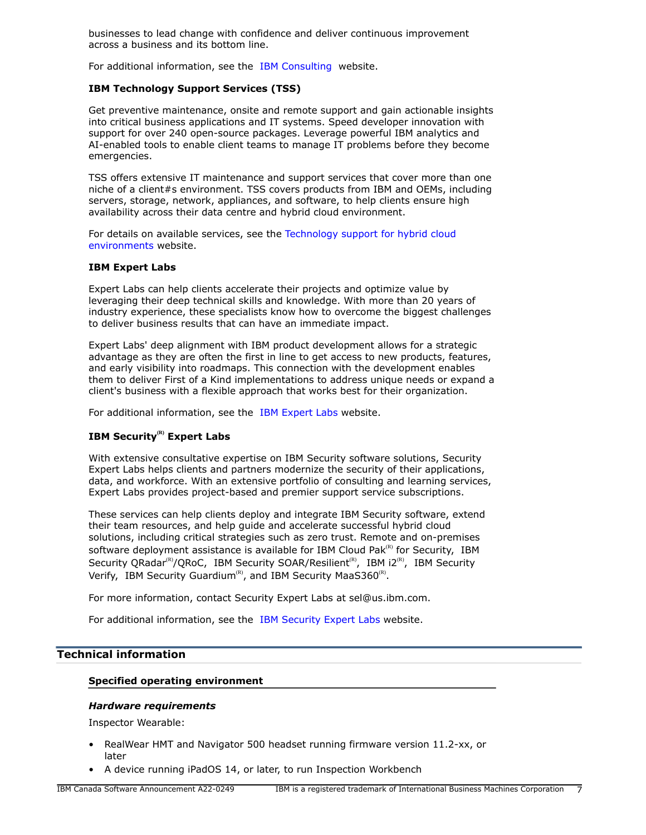businesses to lead change with confidence and deliver continuous improvement across a business and its bottom line.

For additional information, see the [IBM Consulting](https://www.ibm.com/consulting) website.

## **IBM Technology Support Services (TSS)**

Get preventive maintenance, onsite and remote support and gain actionable insights into critical business applications and IT systems. Speed developer innovation with support for over 240 open-source packages. Leverage powerful IBM analytics and AI-enabled tools to enable client teams to manage IT problems before they become emergencies.

TSS offers extensive IT maintenance and support services that cover more than one niche of a client#s environment. TSS covers products from IBM and OEMs, including servers, storage, network, appliances, and software, to help clients ensure high availability across their data centre and hybrid cloud environment.

For details on available services, see the [Technology support for hybrid cloud](https://www.ibm.com/services/technology-support) [environments](https://www.ibm.com/services/technology-support) website.

#### **IBM Expert Labs**

Expert Labs can help clients accelerate their projects and optimize value by leveraging their deep technical skills and knowledge. With more than 20 years of industry experience, these specialists know how to overcome the biggest challenges to deliver business results that can have an immediate impact.

Expert Labs' deep alignment with IBM product development allows for a strategic advantage as they are often the first in line to get access to new products, features, and early visibility into roadmaps. This connection with the development enables them to deliver First of a Kind implementations to address unique needs or expand a client's business with a flexible approach that works best for their organization.

For additional information, see the [IBM Expert Labs](https://www.ibm.com/products/expertlabs) website.

# **IBM Security(R) Expert Labs**

With extensive consultative expertise on IBM Security software solutions, Security Expert Labs helps clients and partners modernize the security of their applications, data, and workforce. With an extensive portfolio of consulting and learning services, Expert Labs provides project-based and premier support service subscriptions.

These services can help clients deploy and integrate IBM Security software, extend their team resources, and help guide and accelerate successful hybrid cloud solutions, including critical strategies such as zero trust. Remote and on-premises software deployment assistance is available for IBM Cloud Pak $R$ <sup>(R)</sup> for Security, IBM Security QRadar<sup>(R)</sup>/QRoC, IBM Security SOAR/Resilient<sup>(R)</sup>, IBM i2<sup>(R)</sup>, IBM Security Verify, IBM Security Guardium<sup>(R)</sup>, and IBM Security MaaS360<sup>(R)</sup>.

For more information, contact Security Expert Labs at sel@us.ibm.com.

For additional information, see the [IBM Security Expert Labs](https://www.ibm.com/security/security-expert-labs) website.

# <span id="page-6-0"></span>**Technical information**

#### **Specified operating environment**

#### *Hardware requirements*

Inspector Wearable:

- RealWear HMT and Navigator 500 headset running firmware version 11.2-xx, or later
- A device running iPadOS 14, or later, to run Inspection Workbench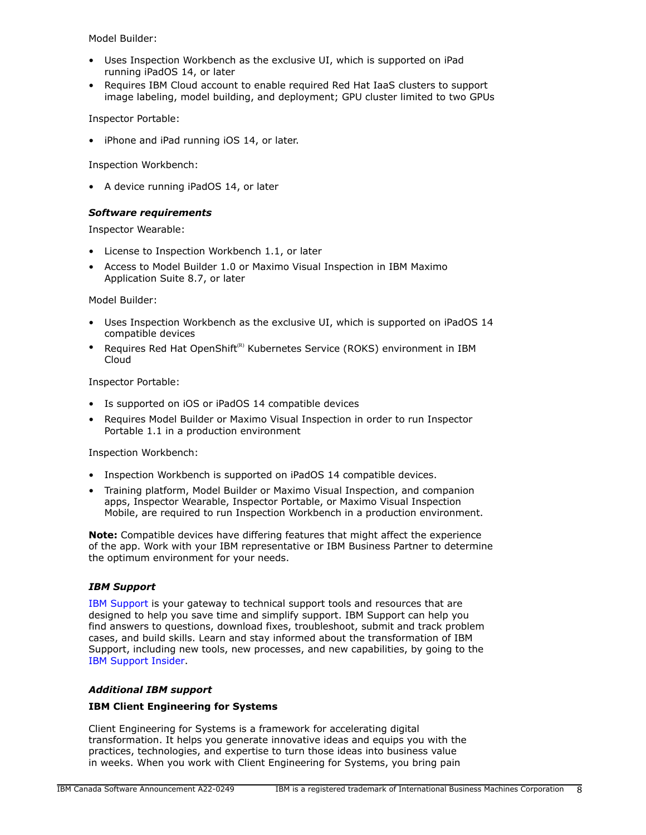Model Builder:

- Uses Inspection Workbench as the exclusive UI, which is supported on iPad running iPadOS 14, or later
- Requires IBM Cloud account to enable required Red Hat IaaS clusters to support image labeling, model building, and deployment; GPU cluster limited to two GPUs

Inspector Portable:

• iPhone and iPad running iOS 14, or later.

Inspection Workbench:

• A device running iPadOS 14, or later

# *Software requirements*

Inspector Wearable:

- License to Inspection Workbench 1.1, or later
- Access to Model Builder 1.0 or Maximo Visual Inspection in IBM Maximo Application Suite 8.7, or later

Model Builder:

- Uses Inspection Workbench as the exclusive UI, which is supported on iPadOS 14 compatible devices
- Requires Red Hat OpenShift<sup>(R)</sup> Kubernetes Service (ROKS) environment in IBM Cloud

Inspector Portable:

- Is supported on iOS or iPadOS 14 compatible devices
- Requires Model Builder or Maximo Visual Inspection in order to run Inspector Portable 1.1 in a production environment

Inspection Workbench:

- Inspection Workbench is supported on iPadOS 14 compatible devices.
- Training platform, Model Builder or Maximo Visual Inspection, and companion apps, Inspector Wearable, Inspector Portable, or Maximo Visual Inspection Mobile, are required to run Inspection Workbench in a production environment.

**Note:** Compatible devices have differing features that might affect the experience of the app. Work with your IBM representative or IBM Business Partner to determine the optimum environment for your needs.

# *IBM Support*

[IBM Support](https://www.ibm.com/support) is your gateway to technical support tools and resources that are designed to help you save time and simplify support. IBM Support can help you find answers to questions, download fixes, troubleshoot, submit and track problem cases, and build skills. Learn and stay informed about the transformation of IBM Support, including new tools, new processes, and new capabilities, by going to the [IBM Support Insider](https://www.ibm.com/support/insider).

# *Additional IBM support*

# **IBM Client Engineering for Systems**

Client Engineering for Systems is a framework for accelerating digital transformation. It helps you generate innovative ideas and equips you with the practices, technologies, and expertise to turn those ideas into business value in weeks. When you work with Client Engineering for Systems, you bring pain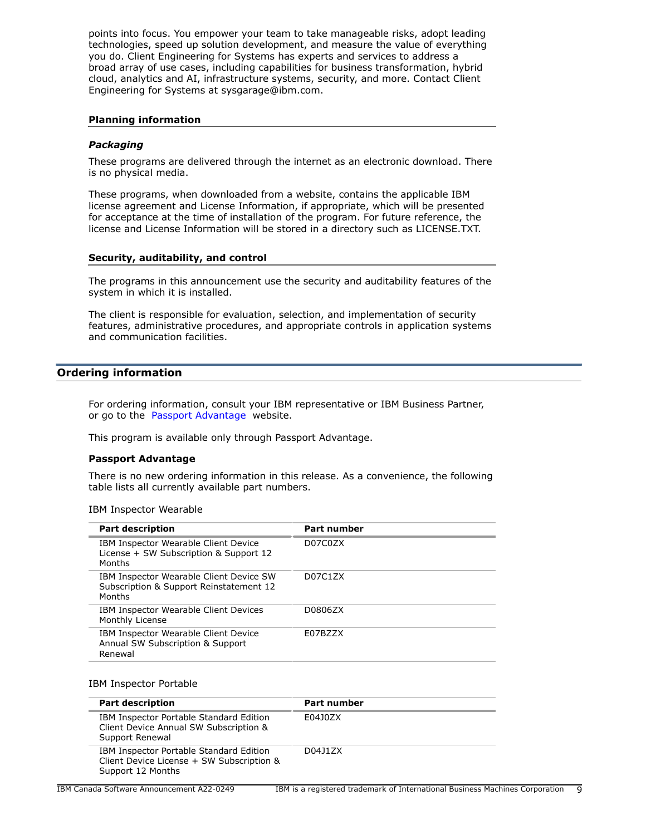points into focus. You empower your team to take manageable risks, adopt leading technologies, speed up solution development, and measure the value of everything you do. Client Engineering for Systems has experts and services to address a broad array of use cases, including capabilities for business transformation, hybrid cloud, analytics and AI, infrastructure systems, security, and more. Contact Client Engineering for Systems at sysgarage@ibm.com.

#### **Planning information**

#### *Packaging*

These programs are delivered through the internet as an electronic download. There is no physical media.

These programs, when downloaded from a website, contains the applicable IBM license agreement and License Information, if appropriate, which will be presented for acceptance at the time of installation of the program. For future reference, the license and License Information will be stored in a directory such as LICENSE.TXT.

#### **Security, auditability, and control**

The programs in this announcement use the security and auditability features of the system in which it is installed.

The client is responsible for evaluation, selection, and implementation of security features, administrative procedures, and appropriate controls in application systems and communication facilities.

# <span id="page-8-0"></span>**Ordering information**

For ordering information, consult your IBM representative or IBM Business Partner, or go to the [Passport Advantage](https://www.ibm.com/software/passportadvantage/) website.

This program is available only through Passport Advantage.

#### **Passport Advantage**

There is no new ordering information in this release. As a convenience, the following table lists all currently available part numbers.

IBM Inspector Wearable

| <b>Part description</b>                                                                      | <b>Part number</b> |
|----------------------------------------------------------------------------------------------|--------------------|
| IBM Inspector Wearable Client Device<br>License + SW Subscription & Support 12<br>Months     | D07C0ZX            |
| IBM Inspector Wearable Client Device SW<br>Subscription & Support Reinstatement 12<br>Months | D07C1ZX            |
| IBM Inspector Wearable Client Devices<br>Monthly License                                     | D0806ZX            |
| IBM Inspector Wearable Client Device<br>Annual SW Subscription & Support<br>Renewal          | E07BZZX            |

#### IBM Inspector Portable

| <b>Part description</b>                                                                                   | <b>Part number</b> |
|-----------------------------------------------------------------------------------------------------------|--------------------|
| IBM Inspector Portable Standard Edition<br>Client Device Annual SW Subscription &<br>Support Renewal      | E04J0ZX            |
| IBM Inspector Portable Standard Edition<br>Client Device License + SW Subscription &<br>Support 12 Months | D04J1ZX            |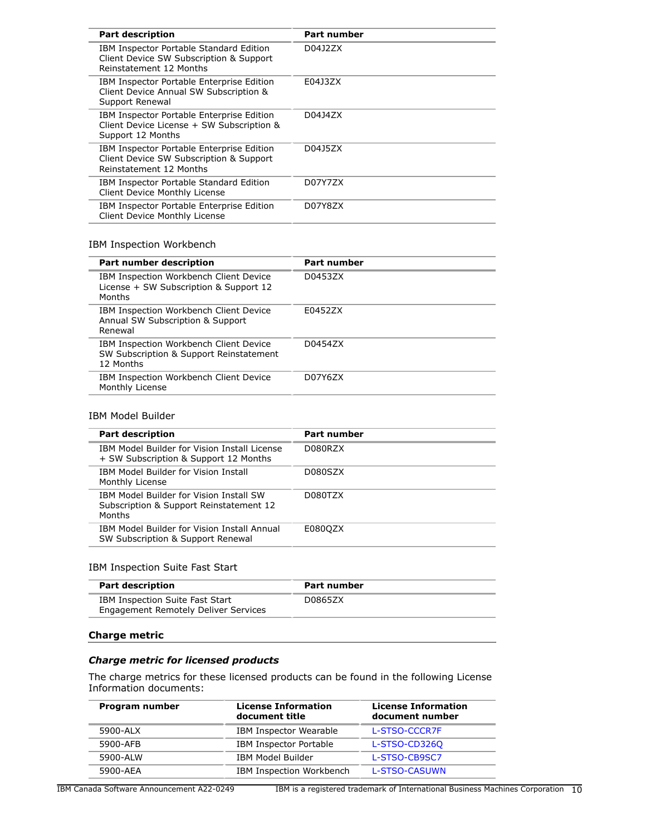| <b>Part description</b>                                                                                         | <b>Part number</b> |
|-----------------------------------------------------------------------------------------------------------------|--------------------|
| IBM Inspector Portable Standard Edition<br>Client Device SW Subscription & Support<br>Reinstatement 12 Months   | D04J2ZX            |
| IBM Inspector Portable Enterprise Edition<br>Client Device Annual SW Subscription &<br>Support Renewal          | E04J3ZX            |
| IBM Inspector Portable Enterprise Edition<br>Client Device License + SW Subscription &<br>Support 12 Months     | D04J4ZX            |
| IBM Inspector Portable Enterprise Edition<br>Client Device SW Subscription & Support<br>Reinstatement 12 Months | D04J5ZX            |
| IBM Inspector Portable Standard Edition<br>Client Device Monthly License                                        | D07Y7ZX            |
| IBM Inspector Portable Enterprise Edition<br>Client Device Monthly License                                      | D07Y8ZX            |

# IBM Inspection Workbench

| <b>Part number description</b>                                                                 | <b>Part number</b> |
|------------------------------------------------------------------------------------------------|--------------------|
| IBM Inspection Workbench Client Device<br>License + SW Subscription & Support 12<br>Months     | D04537X            |
| IBM Inspection Workbench Client Device<br>Annual SW Subscription & Support<br>Renewal          | F04527X            |
| IBM Inspection Workbench Client Device<br>SW Subscription & Support Reinstatement<br>12 Months | D04547X            |
| IBM Inspection Workbench Client Device<br>Monthly License                                      | D07Y6ZX            |
|                                                                                                |                    |

#### IBM Model Builder

| <b>Part description</b>                                                                      | <b>Part number</b> |
|----------------------------------------------------------------------------------------------|--------------------|
| IBM Model Builder for Vision Install License<br>+ SW Subscription & Support 12 Months        | D080RZX            |
| IBM Model Builder for Vision Install<br>Monthly License                                      | D080SZX            |
| IBM Model Builder for Vision Install SW<br>Subscription & Support Reinstatement 12<br>Months | D080TZX            |
| IBM Model Builder for Vision Install Annual<br>SW Subscription & Support Renewal             | E080QZX            |

#### IBM Inspection Suite Fast Start

| <b>Part description</b>                                                 | Part number |  |
|-------------------------------------------------------------------------|-------------|--|
| IBM Inspection Suite Fast Start<br>Engagement Remotely Deliver Services | D0865ZX     |  |

#### **Charge metric**

#### *Charge metric for licensed products*

The charge metrics for these licensed products can be found in the following License Information documents:

| Program number | <b>License Information</b><br>document title | <b>License Information</b><br>document number |
|----------------|----------------------------------------------|-----------------------------------------------|
| 5900-ALX       | <b>IBM Inspector Wearable</b>                | L-STSO-CCCR7F                                 |
| 5900-AFB       | <b>IBM Inspector Portable</b>                | L-STSO-CD326Q                                 |
| 5900-ALW       | <b>IBM Model Builder</b>                     | L-STSO-CB9SC7                                 |
| 5900-AEA       | IBM Inspection Workbench                     | L-STSO-CASUWN                                 |

IBM Canada Software Announcement A22-0249 IBM is a registered trademark of International Business Machines Corporation 10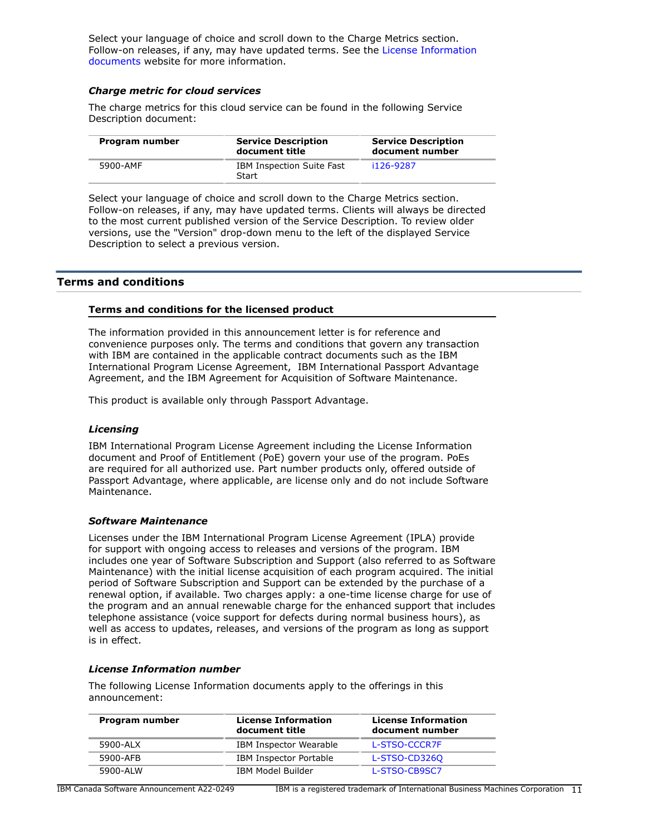Select your language of choice and scroll down to the Charge Metrics section. Follow-on releases, if any, may have updated terms. See the [License Information](https://www.ibm.com/software/sla/sladb.nsf/search?OpenForm) [documents](https://www.ibm.com/software/sla/sladb.nsf/search?OpenForm) website for more information.

#### *Charge metric for cloud services*

The charge metrics for this cloud service can be found in the following Service Description document:

| Program number | <b>Service Description</b><br>document title | <b>Service Description</b><br>document number |
|----------------|----------------------------------------------|-----------------------------------------------|
| 5900-AMF       | IBM Inspection Suite Fast<br>Start           | i126-9287                                     |

Select your language of choice and scroll down to the Charge Metrics section. Follow-on releases, if any, may have updated terms. Clients will always be directed to the most current published version of the Service Description. To review older versions, use the "Version" drop-down menu to the left of the displayed Service Description to select a previous version.

# <span id="page-10-0"></span>**Terms and conditions**

#### **Terms and conditions for the licensed product**

The information provided in this announcement letter is for reference and convenience purposes only. The terms and conditions that govern any transaction with IBM are contained in the applicable contract documents such as the IBM International Program License Agreement, IBM International Passport Advantage Agreement, and the IBM Agreement for Acquisition of Software Maintenance.

This product is available only through Passport Advantage.

#### *Licensing*

IBM International Program License Agreement including the License Information document and Proof of Entitlement (PoE) govern your use of the program. PoEs are required for all authorized use. Part number products only, offered outside of Passport Advantage, where applicable, are license only and do not include Software Maintenance.

#### *Software Maintenance*

Licenses under the IBM International Program License Agreement (IPLA) provide for support with ongoing access to releases and versions of the program. IBM includes one year of Software Subscription and Support (also referred to as Software Maintenance) with the initial license acquisition of each program acquired. The initial period of Software Subscription and Support can be extended by the purchase of a renewal option, if available. Two charges apply: a one-time license charge for use of the program and an annual renewable charge for the enhanced support that includes telephone assistance (voice support for defects during normal business hours), as well as access to updates, releases, and versions of the program as long as support is in effect.

#### *License Information number*

The following License Information documents apply to the offerings in this announcement:

| Program number | <b>License Information</b><br>document title | <b>License Information</b><br>document number |
|----------------|----------------------------------------------|-----------------------------------------------|
| 5900-ALX       | <b>IBM Inspector Wearable</b>                | L-STSO-CCCR7F                                 |
| 5900-AFB       | IBM Inspector Portable                       | L-STSO-CD3260                                 |
| 5900-ALW       | IBM Model Builder                            | L-STSO-CB9SC7                                 |

IBM Canada Software Announcement A22-0249 IBM is a registered trademark of International Business Machines Corporation 11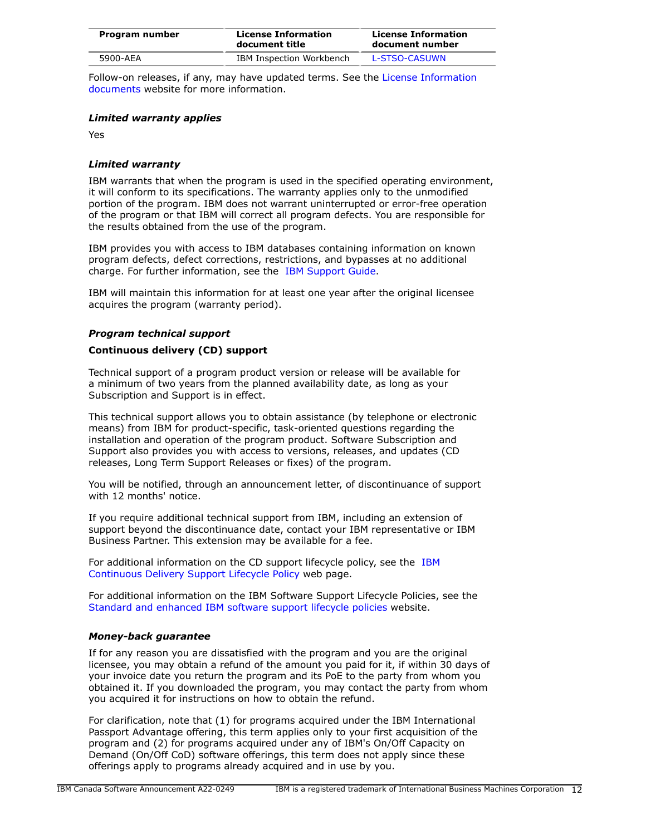| Program number | <b>License Information</b><br>document title | <b>License Information</b><br>document number |
|----------------|----------------------------------------------|-----------------------------------------------|
| 5900-AEA       | IBM Inspection Workbench                     | L-STSO-CASUWN                                 |

Follow-on releases, if any, may have updated terms. See the [License Information](https://www.ibm.com/software/sla/sladb.nsf/search?OpenForm) [documents](https://www.ibm.com/software/sla/sladb.nsf/search?OpenForm) website for more information.

# *Limited warranty applies*

Yes

#### *Limited warranty*

IBM warrants that when the program is used in the specified operating environment, it will conform to its specifications. The warranty applies only to the unmodified portion of the program. IBM does not warrant uninterrupted or error-free operation of the program or that IBM will correct all program defects. You are responsible for the results obtained from the use of the program.

IBM provides you with access to IBM databases containing information on known program defects, defect corrections, restrictions, and bypasses at no additional charge. For further information, see the [IBM Support Guide](http://www.ibm.com/support/customercare/sas/f/handbook/home.html).

IBM will maintain this information for at least one year after the original licensee acquires the program (warranty period).

#### *Program technical support*

#### **Continuous delivery (CD) support**

Technical support of a program product version or release will be available for a minimum of two years from the planned availability date, as long as your Subscription and Support is in effect.

This technical support allows you to obtain assistance (by telephone or electronic means) from IBM for product-specific, task-oriented questions regarding the installation and operation of the program product. Software Subscription and Support also provides you with access to versions, releases, and updates (CD releases, Long Term Support Releases or fixes) of the program.

You will be notified, through an announcement letter, of discontinuance of support with 12 months' notice.

If you require additional technical support from IBM, including an extension of support beyond the discontinuance date, contact your IBM representative or IBM Business Partner. This extension may be available for a fee.

For additional information on the CD support lifecycle policy, see the [IBM](https://www.ibm.com/support/pages/ibm-continuous-delivery-support-lifecycle-policy) [Continuous Delivery Support Lifecycle Policy](https://www.ibm.com/support/pages/ibm-continuous-delivery-support-lifecycle-policy) web page.

For additional information on the IBM Software Support Lifecycle Policies, see the [Standard and enhanced IBM software support lifecycle policies](http://www.ibm.com/software/support/lifecycle/lc-policy.html) website.

#### *Money-back guarantee*

If for any reason you are dissatisfied with the program and you are the original licensee, you may obtain a refund of the amount you paid for it, if within 30 days of your invoice date you return the program and its PoE to the party from whom you obtained it. If you downloaded the program, you may contact the party from whom you acquired it for instructions on how to obtain the refund.

For clarification, note that (1) for programs acquired under the IBM International Passport Advantage offering, this term applies only to your first acquisition of the program and (2) for programs acquired under any of IBM's On/Off Capacity on Demand (On/Off CoD) software offerings, this term does not apply since these offerings apply to programs already acquired and in use by you.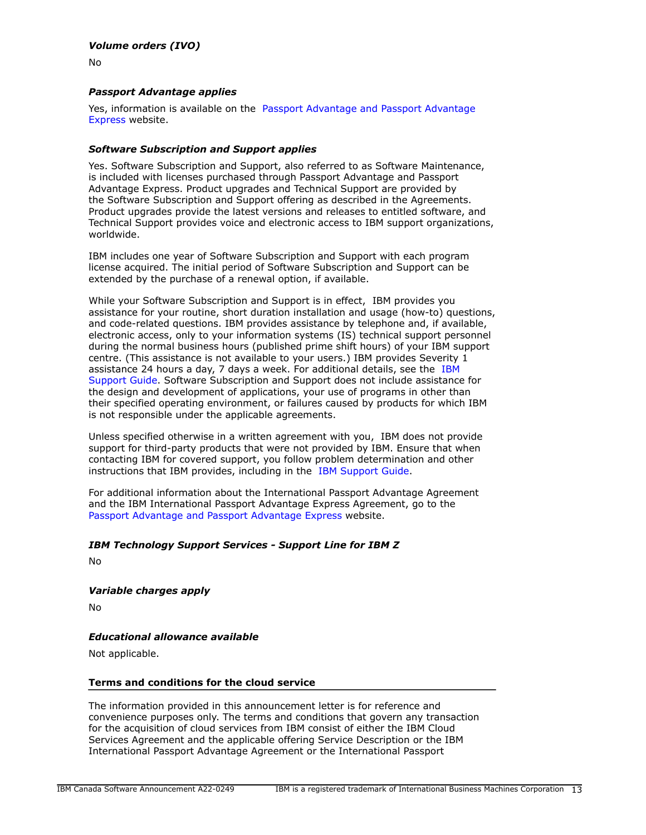# *Volume orders (IVO)*

No

# *Passport Advantage applies*

Yes, information is available on the [Passport Advantage and Passport Advantage](http://www.ibm.com/software/passportadvantage) [Express](http://www.ibm.com/software/passportadvantage) website.

#### *Software Subscription and Support applies*

Yes. Software Subscription and Support, also referred to as Software Maintenance, is included with licenses purchased through Passport Advantage and Passport Advantage Express. Product upgrades and Technical Support are provided by the Software Subscription and Support offering as described in the Agreements. Product upgrades provide the latest versions and releases to entitled software, and Technical Support provides voice and electronic access to IBM support organizations, worldwide.

IBM includes one year of Software Subscription and Support with each program license acquired. The initial period of Software Subscription and Support can be extended by the purchase of a renewal option, if available.

While your Software Subscription and Support is in effect, IBM provides you assistance for your routine, short duration installation and usage (how-to) questions, and code-related questions. IBM provides assistance by telephone and, if available, electronic access, only to your information systems (IS) technical support personnel during the normal business hours (published prime shift hours) of your IBM support centre. (This assistance is not available to your users.) IBM provides Severity 1 assistance 24 hours a day, 7 days a week. For additional details, see the [IBM](http://www.ibm.com/support/customercare/sas/f/handbook/home.html) [Support Guide](http://www.ibm.com/support/customercare/sas/f/handbook/home.html). Software Subscription and Support does not include assistance for the design and development of applications, your use of programs in other than their specified operating environment, or failures caused by products for which IBM is not responsible under the applicable agreements.

Unless specified otherwise in a written agreement with you, IBM does not provide support for third-party products that were not provided by IBM. Ensure that when contacting IBM for covered support, you follow problem determination and other instructions that IBM provides, including in the [IBM Support Guide.](http://www.ibm.com/support/customercare/sas/f/handbook/home.html)

For additional information about the International Passport Advantage Agreement and the IBM International Passport Advantage Express Agreement, go to the [Passport Advantage and Passport Advantage Express](http://www.ibm.com/software/passportadvantage) website.

# *IBM Technology Support Services - Support Line for IBM Z*

No

*Variable charges apply*

No

# *Educational allowance available*

Not applicable.

#### **Terms and conditions for the cloud service**

The information provided in this announcement letter is for reference and convenience purposes only. The terms and conditions that govern any transaction for the acquisition of cloud services from IBM consist of either the IBM Cloud Services Agreement and the applicable offering Service Description or the IBM International Passport Advantage Agreement or the International Passport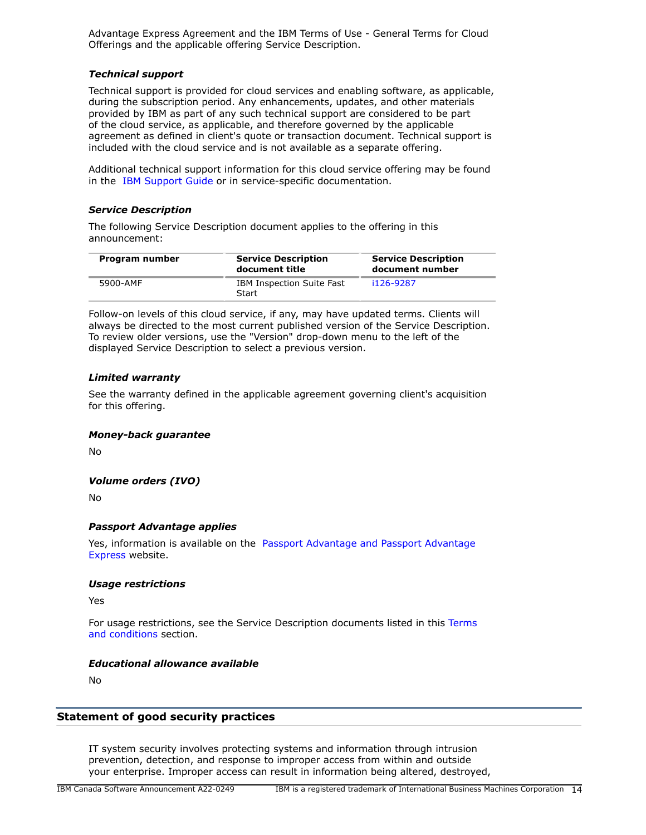Advantage Express Agreement and the IBM Terms of Use - General Terms for Cloud Offerings and the applicable offering Service Description.

#### *Technical support*

Technical support is provided for cloud services and enabling software, as applicable, during the subscription period. Any enhancements, updates, and other materials provided by IBM as part of any such technical support are considered to be part of the cloud service, as applicable, and therefore governed by the applicable agreement as defined in client's quote or transaction document. Technical support is included with the cloud service and is not available as a separate offering.

Additional technical support information for this cloud service offering may be found in the [IBM Support Guide](http://www.ibm.com/support/customercare/sas/f/handbook/home.html) or in service-specific documentation.

#### *Service Description*

The following Service Description document applies to the offering in this announcement:

| Program number | <b>Service Description</b><br>document title | <b>Service Description</b><br>document number |
|----------------|----------------------------------------------|-----------------------------------------------|
| 5900-AMF       | IBM Inspection Suite Fast<br>Start           | i126-9287                                     |

Follow-on levels of this cloud service, if any, may have updated terms. Clients will always be directed to the most current published version of the Service Description. To review older versions, use the "Version" drop-down menu to the left of the displayed Service Description to select a previous version.

# *Limited warranty*

See the warranty defined in the applicable agreement governing client's acquisition for this offering.

# *Money-back guarantee*

No

# *Volume orders (IVO)*

No

# *Passport Advantage applies*

Yes, information is available on the [Passport Advantage and Passport Advantage](http://www.ibm.com/software/passportadvantage) [Express](http://www.ibm.com/software/passportadvantage) website.

#### *Usage restrictions*

Yes

For usage restrictions, see the Service Description documents listed in this [Terms](#page-10-0) [and conditions](#page-10-0) section.

# *Educational allowance available*

No

# **Statement of good security practices**

IT system security involves protecting systems and information through intrusion prevention, detection, and response to improper access from within and outside your enterprise. Improper access can result in information being altered, destroyed,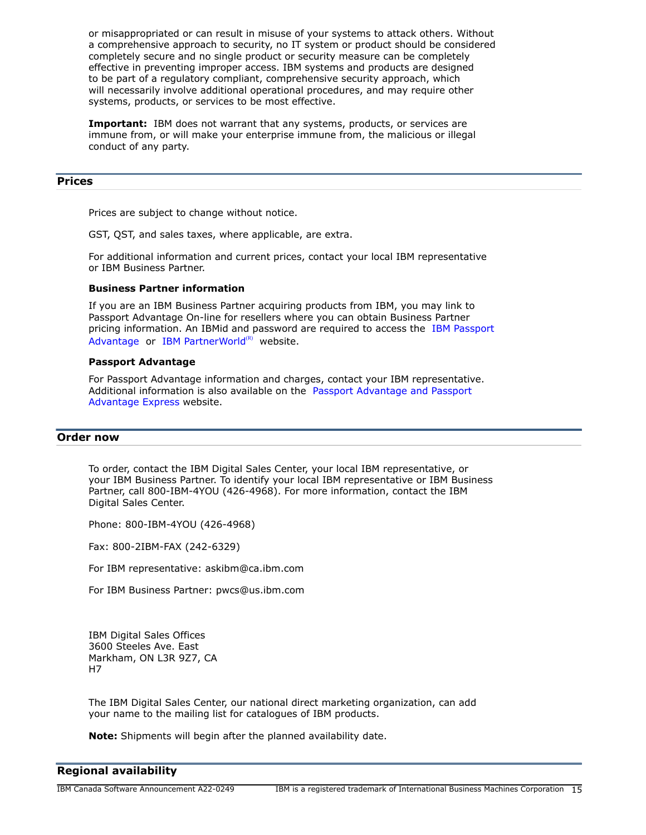or misappropriated or can result in misuse of your systems to attack others. Without a comprehensive approach to security, no IT system or product should be considered completely secure and no single product or security measure can be completely effective in preventing improper access. IBM systems and products are designed to be part of a regulatory compliant, comprehensive security approach, which will necessarily involve additional operational procedures, and may require other systems, products, or services to be most effective.

**Important:** IBM does not warrant that any systems, products, or services are immune from, or will make your enterprise immune from, the malicious or illegal conduct of any party.

# <span id="page-14-0"></span>**Prices**

Prices are subject to change without notice.

GST, QST, and sales taxes, where applicable, are extra.

For additional information and current prices, contact your local IBM representative or IBM Business Partner.

#### **Business Partner information**

If you are an IBM Business Partner acquiring products from IBM, you may link to Passport Advantage On-line for resellers where you can obtain Business Partner pricing information. An IBMid and password are required to access the [IBM Passport](https://www.ibm.com/software/passportadvantage/pao_reseller.html) [Advantage](https://www.ibm.com/software/passportadvantage/pao_reseller.html) or [IBM PartnerWorld](https://www.ibm.com/partnerworld/resources/sell) $(R)$  website.

#### **Passport Advantage**

For Passport Advantage information and charges, contact your IBM representative. Additional information is also available on the [Passport Advantage and Passport](http://www.ibm.com/software/passportadvantage) [Advantage Express](http://www.ibm.com/software/passportadvantage) website.

#### <span id="page-14-1"></span>**Order now**

To order, contact the IBM Digital Sales Center, your local IBM representative, or your IBM Business Partner. To identify your local IBM representative or IBM Business Partner, call 800-IBM-4YOU (426-4968). For more information, contact the IBM Digital Sales Center.

Phone: 800-IBM-4YOU (426-4968)

Fax: 800-2IBM-FAX (242-6329)

For IBM representative: askibm@ca.ibm.com

For IBM Business Partner: pwcs@us.ibm.com

IBM Digital Sales Offices 3600 Steeles Ave. East Markham, ON L3R 9Z7, CA H7

The IBM Digital Sales Center, our national direct marketing organization, can add your name to the mailing list for catalogues of IBM products.

**Note:** Shipments will begin after the planned availability date.

# <span id="page-14-2"></span>**Regional availability**